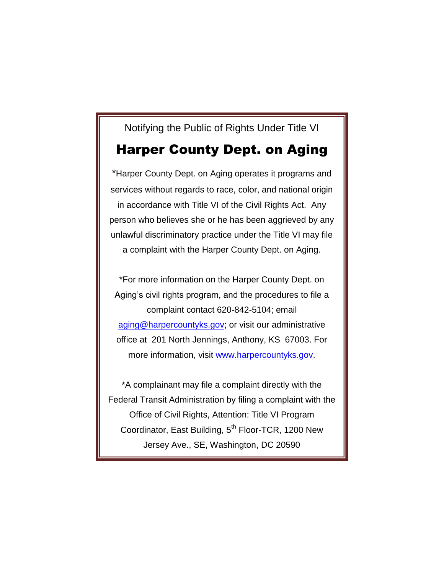# Notifying the Public of Rights Under Title VI

## Harper County Dept. on Aging

\*Harper County Dept. on Aging operates it programs and services without regards to race, color, and national origin in accordance with Title VI of the Civil Rights Act. Any person who believes she or he has been aggrieved by any unlawful discriminatory practice under the Title VI may file a complaint with the Harper County Dept. on Aging.

\*For more information on the Harper County Dept. on Aging's civil rights program, and the procedures to file a complaint contact 620-842-5104; email [aging@harpercountyks.gov;](mailto:aging@harpercountyks.gov) or visit our administrative office at 201 North Jennings, Anthony, KS 67003. For more information, visit [www.harpercountyks.gov.](http://www.harpercountyks.gov/)

\*A complainant may file a complaint directly with the Federal Transit Administration by filing a complaint with the Office of Civil Rights, Attention: Title VI Program Coordinator, East Building, 5<sup>th</sup> Floor-TCR, 1200 New Jersey Ave., SE, Washington, DC 20590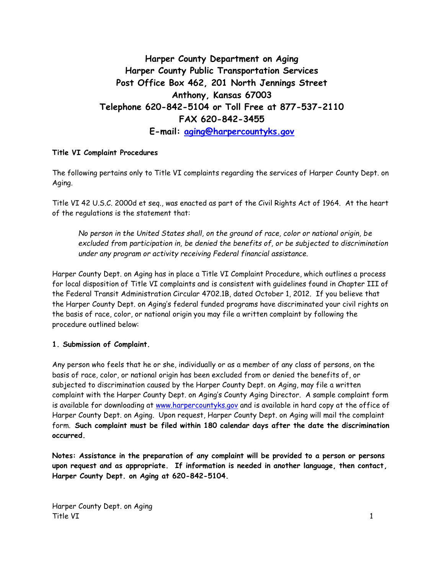## **Harper County Department on Aging Harper County Public Transportation Services Post Office Box 462, 201 North Jennings Street Anthony, Kansas 67003 Telephone 620-842-5104 or Toll Free at 877-537-2110 FAX 620-842-3455 E-mail: [aging@harpercountyks.gov](mailto:aging@harpercountyks.gov)**

#### **Title VI Complaint Procedures**

The following pertains only to Title VI complaints regarding the services of Harper County Dept. on Aging.

Title VI 42 U.S.C. 2000d et seq., was enacted as part of the Civil Rights Act of 1964. At the heart of the regulations is the statement that:

*No person in the United States shall, on the ground of race, color or national origin, be excluded from participation in, be denied the benefits of, or be subjected to discrimination under any program or activity receiving Federal financial assistance.*

Harper County Dept. on Aging has in place a Title VI Complaint Procedure, which outlines a process for local disposition of Title VI complaints and is consistent with guidelines found in Chapter III of the Federal Transit Administration Circular 4702.1B, dated October 1, 2012. If you believe that the Harper County Dept. on Aging's federal funded programs have discriminated your civil rights on the basis of race, color, or national origin you may file a written complaint by following the procedure outlined below:

#### **1. Submission of Complaint.**

Any person who feels that he or she, individually or as a member of any class of persons, on the basis of race, color, or national origin has been excluded from or denied the benefits of, or subjected to discrimination caused by the Harper County Dept. on Aging, may file a written complaint with the Harper County Dept. on Aging's County Aging Director. A sample complaint form is available for downloading at [www.harpercountyks.gov](http://www.harpercountyks.gov/) and is available in hard copy at the office of Harper County Dept. on Aging. Upon request, Harper County Dept. on Aging will mail the complaint form. **Such complaint must be filed within 180 calendar days after the date the discrimination occurred.**

**Notes: Assistance in the preparation of any complaint will be provided to a person or persons upon request and as appropriate. If information is needed in another language, then contact, Harper County Dept. on Aging at 620-842-5104.**

Harper County Dept. on Aging Title VI 1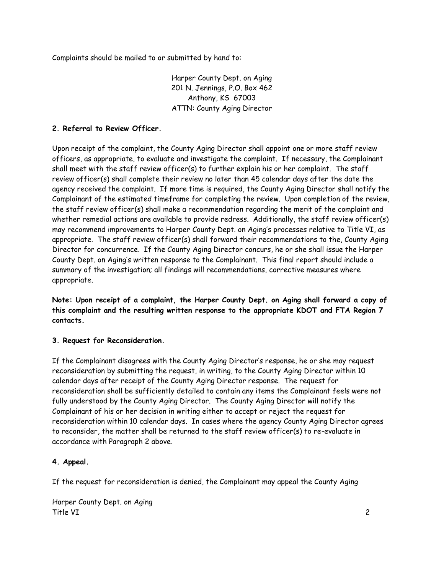Complaints should be mailed to or submitted by hand to:

Harper County Dept. on Aging 201 N. Jennings, P.O. Box 462 Anthony, KS 67003 ATTN: County Aging Director

## **2. Referral to Review Officer.**

Upon receipt of the complaint, the County Aging Director shall appoint one or more staff review officers, as appropriate, to evaluate and investigate the complaint. If necessary, the Complainant shall meet with the staff review officer(s) to further explain his or her complaint. The staff review officer(s) shall complete their review no later than 45 calendar days after the date the agency received the complaint. If more time is required, the County Aging Director shall notify the Complainant of the estimated timeframe for completing the review. Upon completion of the review, the staff review officer(s) shall make a recommendation regarding the merit of the complaint and whether remedial actions are available to provide redress. Additionally, the staff review officer(s) may recommend improvements to Harper County Dept. on Aging's processes relative to Title VI, as appropriate. The staff review officer(s) shall forward their recommendations to the, County Aging Director for concurrence. If the County Aging Director concurs, he or she shall issue the Harper County Dept. on Aging's written response to the Complainant. This final report should include a summary of the investigation; all findings will recommendations, corrective measures where appropriate.

**Note: Upon receipt of a complaint, the Harper County Dept. on Aging shall forward a copy of this complaint and the resulting written response to the appropriate KDOT and FTA Region 7 contacts.**

## **3. Request for Reconsideration.**

If the Complainant disagrees with the County Aging Director's response, he or she may request reconsideration by submitting the request, in writing, to the County Aging Director within 10 calendar days after receipt of the County Aging Director response. The request for reconsideration shall be sufficiently detailed to contain any items the Complainant feels were not fully understood by the County Aging Director. The County Aging Director will notify the Complainant of his or her decision in writing either to accept or reject the request for reconsideration within 10 calendar days. In cases where the agency County Aging Director agrees to reconsider, the matter shall be returned to the staff review officer(s) to re-evaluate in accordance with Paragraph 2 above.

#### **4. Appeal.**

If the request for reconsideration is denied, the Complainant may appeal the County Aging

Harper County Dept. on Aging Title VI 2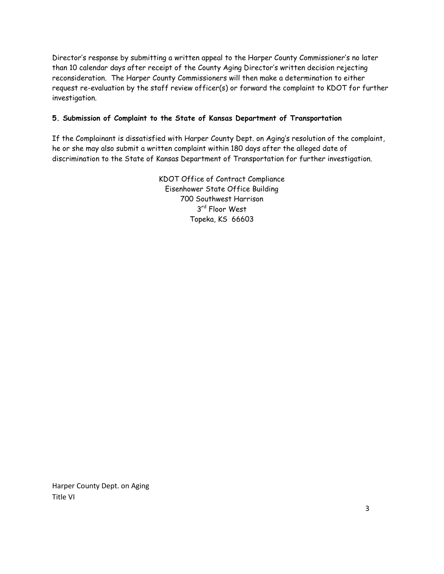Director's response by submitting a written appeal to the Harper County Commissioner's no later than 10 calendar days after receipt of the County Aging Director's written decision rejecting reconsideration. The Harper County Commissioners will then make a determination to either request re-evaluation by the staff review officer(s) or forward the complaint to KDOT for further investigation.

## **5. Submission of Complaint to the State of Kansas Department of Transportation**

If the Complainant is dissatisfied with Harper County Dept. on Aging's resolution of the complaint, he or she may also submit a written complaint within 180 days after the alleged date of discrimination to the State of Kansas Department of Transportation for further investigation.

> KDOT Office of Contract Compliance Eisenhower State Office Building 700 Southwest Harrison 3 rd Floor West Topeka, KS 66603

Harper County Dept. on Aging Title VI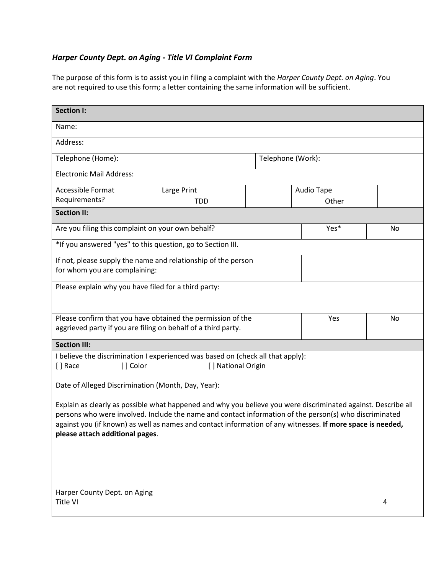## *Harper County Dept. on Aging - Title VI Complaint Form*

The purpose of this form is to assist you in filing a complaint with the *Harper County Dept. on Aging*. You are not required to use this form; a letter containing the same information will be sufficient.

| <b>Section I:</b>                                                                                             |             |   |                   |    |  |
|---------------------------------------------------------------------------------------------------------------|-------------|---|-------------------|----|--|
| Name:                                                                                                         |             |   |                   |    |  |
| Address:                                                                                                      |             |   |                   |    |  |
| Telephone (Home):<br>Telephone (Work):                                                                        |             |   |                   |    |  |
| <b>Electronic Mail Address:</b>                                                                               |             |   |                   |    |  |
| <b>Accessible Format</b>                                                                                      | Large Print |   | <b>Audio Tape</b> |    |  |
| Requirements?                                                                                                 | <b>TDD</b>  |   | Other             |    |  |
| <b>Section II:</b>                                                                                            |             |   |                   |    |  |
| Are you filing this complaint on your own behalf?                                                             |             |   | Yes*              | No |  |
| *If you answered "yes" to this question, go to Section III.                                                   |             |   |                   |    |  |
| If not, please supply the name and relationship of the person                                                 |             |   |                   |    |  |
| for whom you are complaining:                                                                                 |             |   |                   |    |  |
| Please explain why you have filed for a third party:                                                          |             |   |                   |    |  |
|                                                                                                               |             |   |                   |    |  |
| Please confirm that you have obtained the permission of the<br>Yes                                            |             |   |                   | No |  |
| aggrieved party if you are filing on behalf of a third party.                                                 |             |   |                   |    |  |
| <b>Section III:</b>                                                                                           |             |   |                   |    |  |
| I believe the discrimination I experienced was based on (check all that apply):                               |             |   |                   |    |  |
| [] Color<br>[] National Origin<br>[ ] Race                                                                    |             |   |                   |    |  |
| Date of Alleged Discrimination (Month, Day, Year): ____________                                               |             |   |                   |    |  |
| Explain as clearly as possible what happened and why you believe you were discriminated against. Describe all |             |   |                   |    |  |
| persons who were involved. Include the name and contact information of the person(s) who discriminated        |             |   |                   |    |  |
| against you (if known) as well as names and contact information of any witnesses. If more space is needed,    |             |   |                   |    |  |
| please attach additional pages.                                                                               |             |   |                   |    |  |
|                                                                                                               |             |   |                   |    |  |
|                                                                                                               |             |   |                   |    |  |
|                                                                                                               |             |   |                   |    |  |
| Harper County Dept. on Aging                                                                                  |             |   |                   |    |  |
| Title VI                                                                                                      |             | 4 |                   |    |  |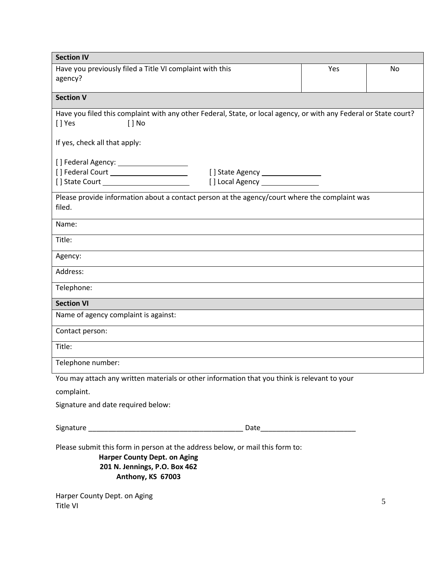| <b>Section IV</b>                                                                                                                       |     |    |
|-----------------------------------------------------------------------------------------------------------------------------------------|-----|----|
| Have you previously filed a Title VI complaint with this                                                                                | Yes | No |
| agency?                                                                                                                                 |     |    |
| <b>Section V</b>                                                                                                                        |     |    |
|                                                                                                                                         |     |    |
| Have you filed this complaint with any other Federal, State, or local agency, or with any Federal or State court?<br>[] Yes<br>$[ ]$ No |     |    |
| If yes, check all that apply:                                                                                                           |     |    |
|                                                                                                                                         |     |    |
| [] Federal Court ______________________                                                                                                 |     |    |
|                                                                                                                                         |     |    |
| Please provide information about a contact person at the agency/court where the complaint was<br>filed.                                 |     |    |
| Name:                                                                                                                                   |     |    |
| Title:                                                                                                                                  |     |    |
| Agency:                                                                                                                                 |     |    |
| Address:                                                                                                                                |     |    |
| Telephone:                                                                                                                              |     |    |
| <b>Section VI</b>                                                                                                                       |     |    |
| Name of agency complaint is against:                                                                                                    |     |    |
| Contact person:                                                                                                                         |     |    |
| Title:                                                                                                                                  |     |    |
| Telephone number:                                                                                                                       |     |    |
| You may attach any written materials or other information that you think is relevant to your                                            |     |    |
| complaint.                                                                                                                              |     |    |
| Signature and date required below:                                                                                                      |     |    |
|                                                                                                                                         |     |    |
| Please submit this form in person at the address below, or mail this form to:                                                           |     |    |
| <b>Harper County Dept. on Aging</b>                                                                                                     |     |    |
| 201 N. Jennings, P.O. Box 462<br>Anthony, KS 67003                                                                                      |     |    |
|                                                                                                                                         |     |    |
| Harper County Dept. on Aging                                                                                                            |     |    |

Title VI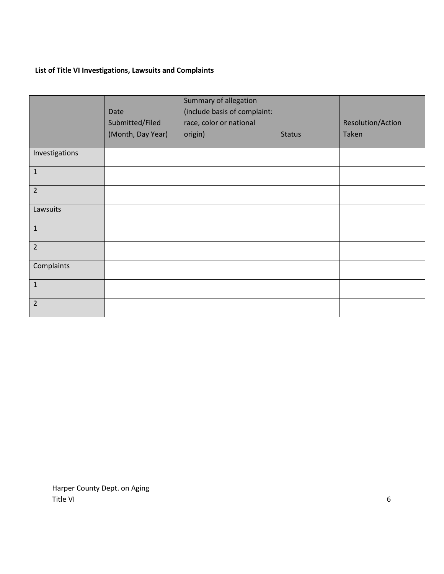## **List of Title VI Investigations, Lawsuits and Complaints**

|                | Date<br>Submitted/Filed | Summary of allegation<br>(include basis of complaint:<br>race, color or national |               | Resolution/Action |
|----------------|-------------------------|----------------------------------------------------------------------------------|---------------|-------------------|
|                | (Month, Day Year)       | origin)                                                                          | <b>Status</b> | Taken             |
| Investigations |                         |                                                                                  |               |                   |
| $\mathbf 1$    |                         |                                                                                  |               |                   |
| $\overline{2}$ |                         |                                                                                  |               |                   |
| Lawsuits       |                         |                                                                                  |               |                   |
| $\mathbf{1}$   |                         |                                                                                  |               |                   |
| $\overline{2}$ |                         |                                                                                  |               |                   |
| Complaints     |                         |                                                                                  |               |                   |
| $\mathbf{1}$   |                         |                                                                                  |               |                   |
| $\overline{2}$ |                         |                                                                                  |               |                   |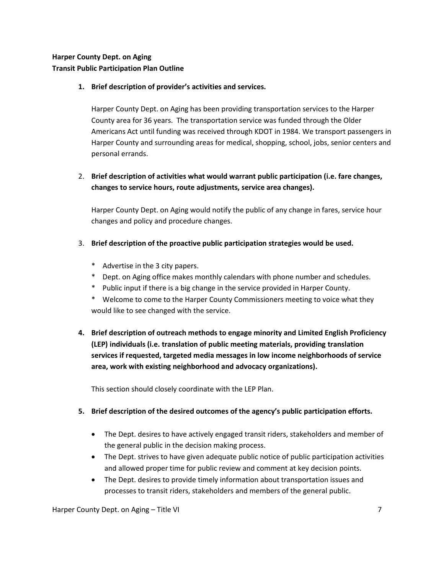## **Harper County Dept. on Aging Transit Public Participation Plan Outline**

#### **1. Brief description of provider's activities and services.**

Harper County Dept. on Aging has been providing transportation services to the Harper County area for 36 years. The transportation service was funded through the Older Americans Act until funding was received through KDOT in 1984. We transport passengers in Harper County and surrounding areas for medical, shopping, school, jobs, senior centers and personal errands.

## 2. **Brief description of activities what would warrant public participation (i.e. fare changes, changes to service hours, route adjustments, service area changes).**

Harper County Dept. on Aging would notify the public of any change in fares, service hour changes and policy and procedure changes.

#### 3. **Brief description of the proactive public participation strategies would be used.**

- \* Advertise in the 3 city papers.
- \* Dept. on Aging office makes monthly calendars with phone number and schedules.
- \* Public input if there is a big change in the service provided in Harper County.
- \* Welcome to come to the Harper County Commissioners meeting to voice what they would like to see changed with the service.
- **4. Brief description of outreach methods to engage minority and Limited English Proficiency (LEP) individuals (i.e. translation of public meeting materials, providing translation services if requested, targeted media messages in low income neighborhoods of service area, work with existing neighborhood and advocacy organizations).**

This section should closely coordinate with the LEP Plan.

#### **5. Brief description of the desired outcomes of the agency's public participation efforts.**

- The Dept. desires to have actively engaged transit riders, stakeholders and member of the general public in the decision making process.
- The Dept. strives to have given adequate public notice of public participation activities and allowed proper time for public review and comment at key decision points.
- The Dept. desires to provide timely information about transportation issues and processes to transit riders, stakeholders and members of the general public.

Harper County Dept. on Aging – Title VI 7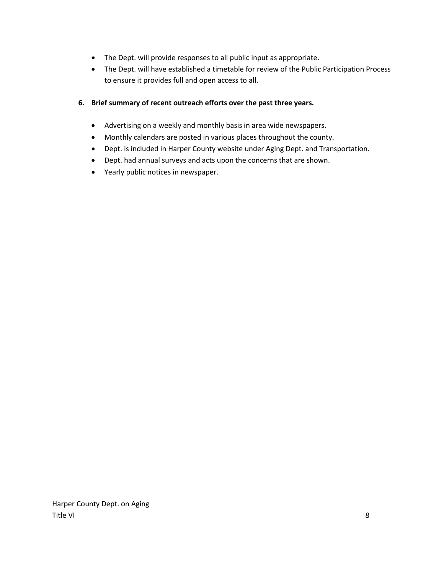- The Dept. will provide responses to all public input as appropriate.
- The Dept. will have established a timetable for review of the Public Participation Process to ensure it provides full and open access to all.

#### **6. Brief summary of recent outreach efforts over the past three years.**

- Advertising on a weekly and monthly basis in area wide newspapers.
- Monthly calendars are posted in various places throughout the county.
- Dept. is included in Harper County website under Aging Dept. and Transportation.
- Dept. had annual surveys and acts upon the concerns that are shown.
- Yearly public notices in newspaper.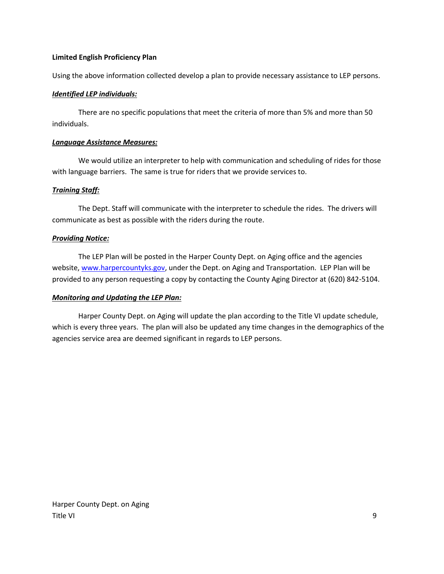#### **Limited English Proficiency Plan**

Using the above information collected develop a plan to provide necessary assistance to LEP persons.

#### *Identified LEP individuals:*

There are no specific populations that meet the criteria of more than 5% and more than 50 individuals.

#### *Language Assistance Measures:*

We would utilize an interpreter to help with communication and scheduling of rides for those with language barriers. The same is true for riders that we provide services to.

#### *Training Staff:*

The Dept. Staff will communicate with the interpreter to schedule the rides. The drivers will communicate as best as possible with the riders during the route.

#### *Providing Notice:*

The LEP Plan will be posted in the Harper County Dept. on Aging office and the agencies website, [www.harpercountyks.gov,](http://www.harpercountyks.gov/) under the Dept. on Aging and Transportation. LEP Plan will be provided to any person requesting a copy by contacting the County Aging Director at (620) 842-5104.

#### *Monitoring and Updating the LEP Plan:*

Harper County Dept. on Aging will update the plan according to the Title VI update schedule, which is every three years. The plan will also be updated any time changes in the demographics of the agencies service area are deemed significant in regards to LEP persons.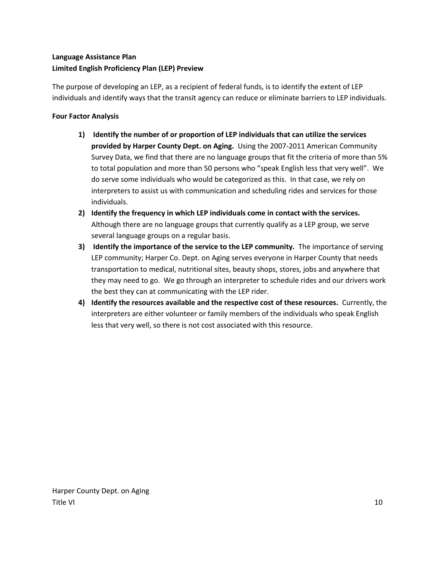## **Language Assistance Plan Limited English Proficiency Plan (LEP) Preview**

The purpose of developing an LEP, as a recipient of federal funds, is to identify the extent of LEP individuals and identify ways that the transit agency can reduce or eliminate barriers to LEP individuals.

## **Four Factor Analysis**

- **1) Identify the number of or proportion of LEP individuals that can utilize the services provided by Harper County Dept. on Aging.** Using the 2007-2011 American Community Survey Data, we find that there are no language groups that fit the criteria of more than 5% to total population and more than 50 persons who "speak English less that very well". We do serve some individuals who would be categorized as this. In that case, we rely on interpreters to assist us with communication and scheduling rides and services for those individuals.
- **2) Identify the frequency in which LEP individuals come in contact with the services.**  Although there are no language groups that currently qualify as a LEP group, we serve several language groups on a regular basis.
- **3) Identify the importance of the service to the LEP community.** The importance of serving LEP community; Harper Co. Dept. on Aging serves everyone in Harper County that needs transportation to medical, nutritional sites, beauty shops, stores, jobs and anywhere that they may need to go. We go through an interpreter to schedule rides and our drivers work the best they can at communicating with the LEP rider.
- **4) Identify the resources available and the respective cost of these resources.** Currently, the interpreters are either volunteer or family members of the individuals who speak English less that very well, so there is not cost associated with this resource.